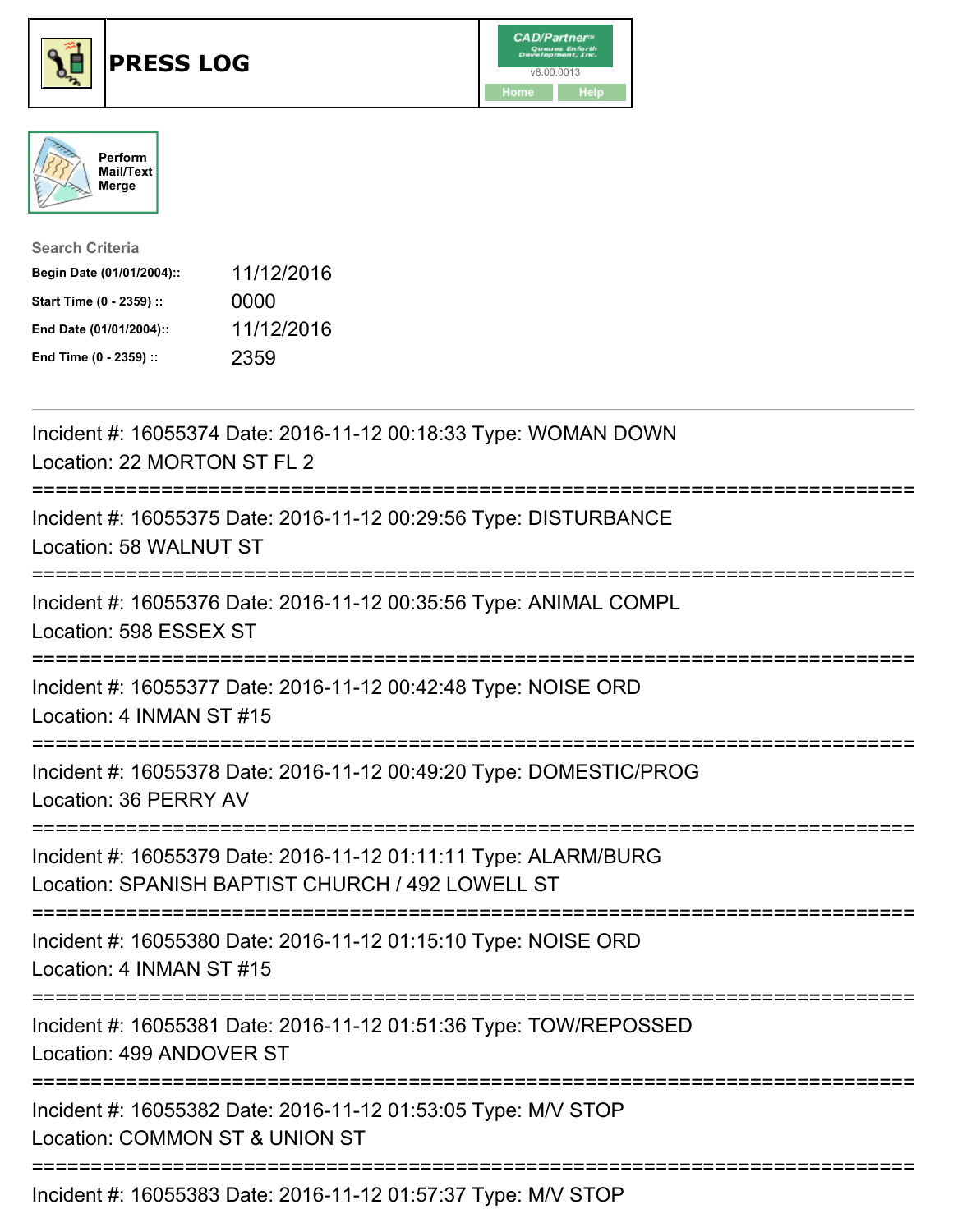





| <b>Search Criteria</b>    |            |
|---------------------------|------------|
| Begin Date (01/01/2004):: | 11/12/2016 |
| Start Time (0 - 2359) ::  | 0000       |
| End Date (01/01/2004)::   | 11/12/2016 |
| End Time (0 - 2359) ::    | 2359       |

| Incident #: 16055374 Date: 2016-11-12 00:18:33 Type: WOMAN DOWN<br>Location: 22 MORTON ST FL 2                      |
|---------------------------------------------------------------------------------------------------------------------|
| Incident #: 16055375 Date: 2016-11-12 00:29:56 Type: DISTURBANCE<br>Location: 58 WALNUT ST                          |
| Incident #: 16055376 Date: 2016-11-12 00:35:56 Type: ANIMAL COMPL<br>Location: 598 ESSEX ST                         |
| Incident #: 16055377 Date: 2016-11-12 00:42:48 Type: NOISE ORD<br>Location: 4 INMAN ST #15                          |
| Incident #: 16055378 Date: 2016-11-12 00:49:20 Type: DOMESTIC/PROG<br>Location: 36 PERRY AV<br>------------------   |
| Incident #: 16055379 Date: 2016-11-12 01:11:11 Type: ALARM/BURG<br>Location: SPANISH BAPTIST CHURCH / 492 LOWELL ST |
| Incident #: 16055380 Date: 2016-11-12 01:15:10 Type: NOISE ORD<br>Location: 4 INMAN ST #15                          |
| Incident #: 16055381 Date: 2016-11-12 01:51:36 Type: TOW/REPOSSED<br>Location: 499 ANDOVER ST                       |
| Incident #: 16055382 Date: 2016-11-12 01:53:05 Type: M/V STOP<br>Location: COMMON ST & UNION ST                     |
| Incident #: 16055383 Date: 2016-11-12 01:57:37 Type: M/V STOP                                                       |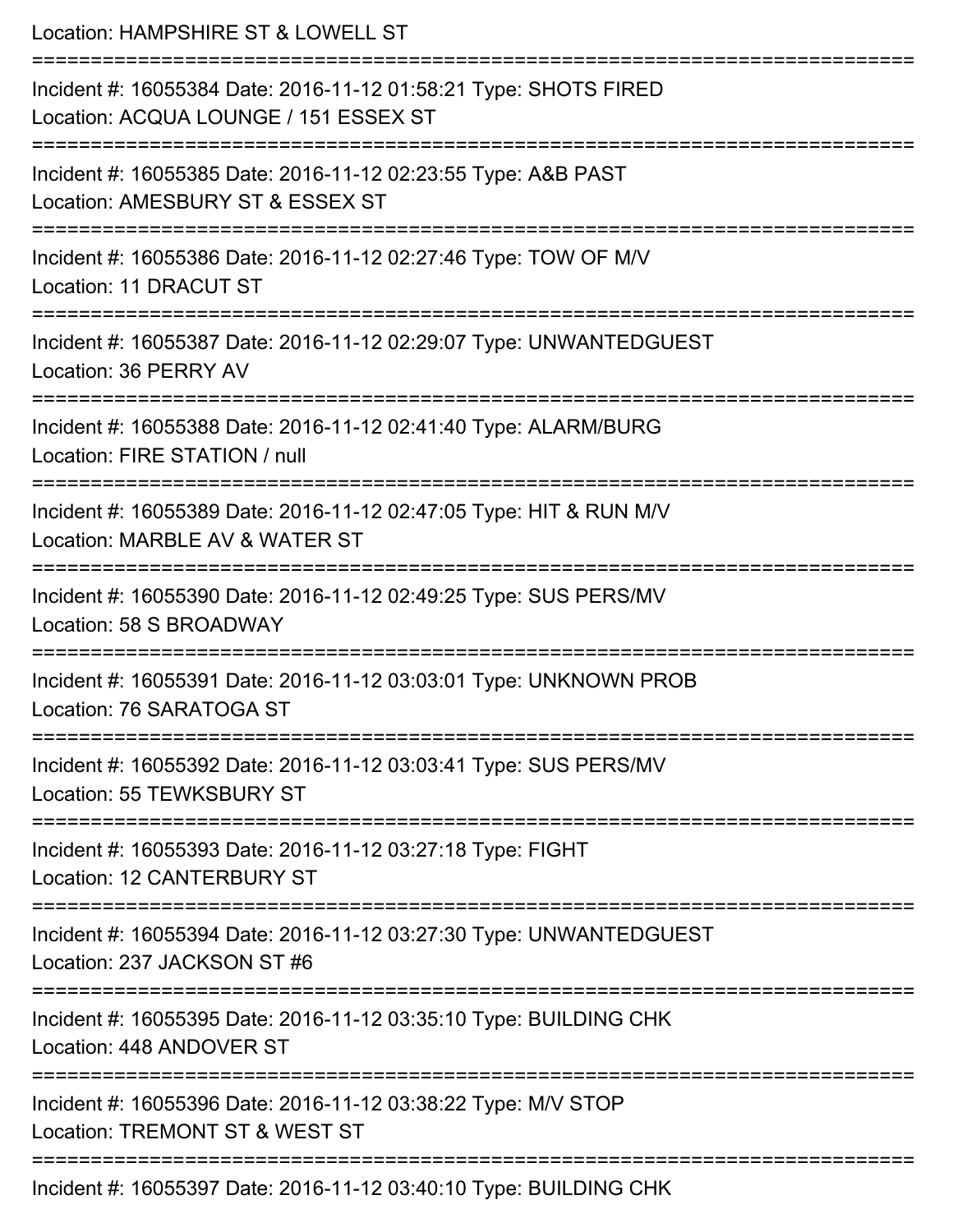| Location: HAMPSHIRE ST & LOWELL ST                                                                        |
|-----------------------------------------------------------------------------------------------------------|
| Incident #: 16055384 Date: 2016-11-12 01:58:21 Type: SHOTS FIRED<br>Location: ACQUA LOUNGE / 151 ESSEX ST |
| Incident #: 16055385 Date: 2016-11-12 02:23:55 Type: A&B PAST<br>Location: AMESBURY ST & ESSEX ST         |
| Incident #: 16055386 Date: 2016-11-12 02:27:46 Type: TOW OF M/V<br>Location: 11 DRACUT ST                 |
| Incident #: 16055387 Date: 2016-11-12 02:29:07 Type: UNWANTEDGUEST<br>Location: 36 PERRY AV               |
| Incident #: 16055388 Date: 2016-11-12 02:41:40 Type: ALARM/BURG<br>Location: FIRE STATION / null          |
| Incident #: 16055389 Date: 2016-11-12 02:47:05 Type: HIT & RUN M/V<br>Location: MARBLE AV & WATER ST      |
| Incident #: 16055390 Date: 2016-11-12 02:49:25 Type: SUS PERS/MV<br>Location: 58 S BROADWAY               |
| Incident #: 16055391 Date: 2016-11-12 03:03:01 Type: UNKNOWN PROB<br>Location: 76 SARATOGA ST             |
| Incident #: 16055392 Date: 2016-11-12 03:03:41 Type: SUS PERS/MV<br>Location: 55 TEWKSBURY ST             |
| Incident #: 16055393 Date: 2016-11-12 03:27:18 Type: FIGHT<br>Location: 12 CANTERBURY ST                  |
| Incident #: 16055394 Date: 2016-11-12 03:27:30 Type: UNWANTEDGUEST<br>Location: 237 JACKSON ST #6         |
| Incident #: 16055395 Date: 2016-11-12 03:35:10 Type: BUILDING CHK<br>Location: 448 ANDOVER ST             |
| Incident #: 16055396 Date: 2016-11-12 03:38:22 Type: M/V STOP<br>Location: TREMONT ST & WEST ST           |
| Incident #: 16055397 Date: 2016-11-12 03:40:10 Type: BUILDING CHK                                         |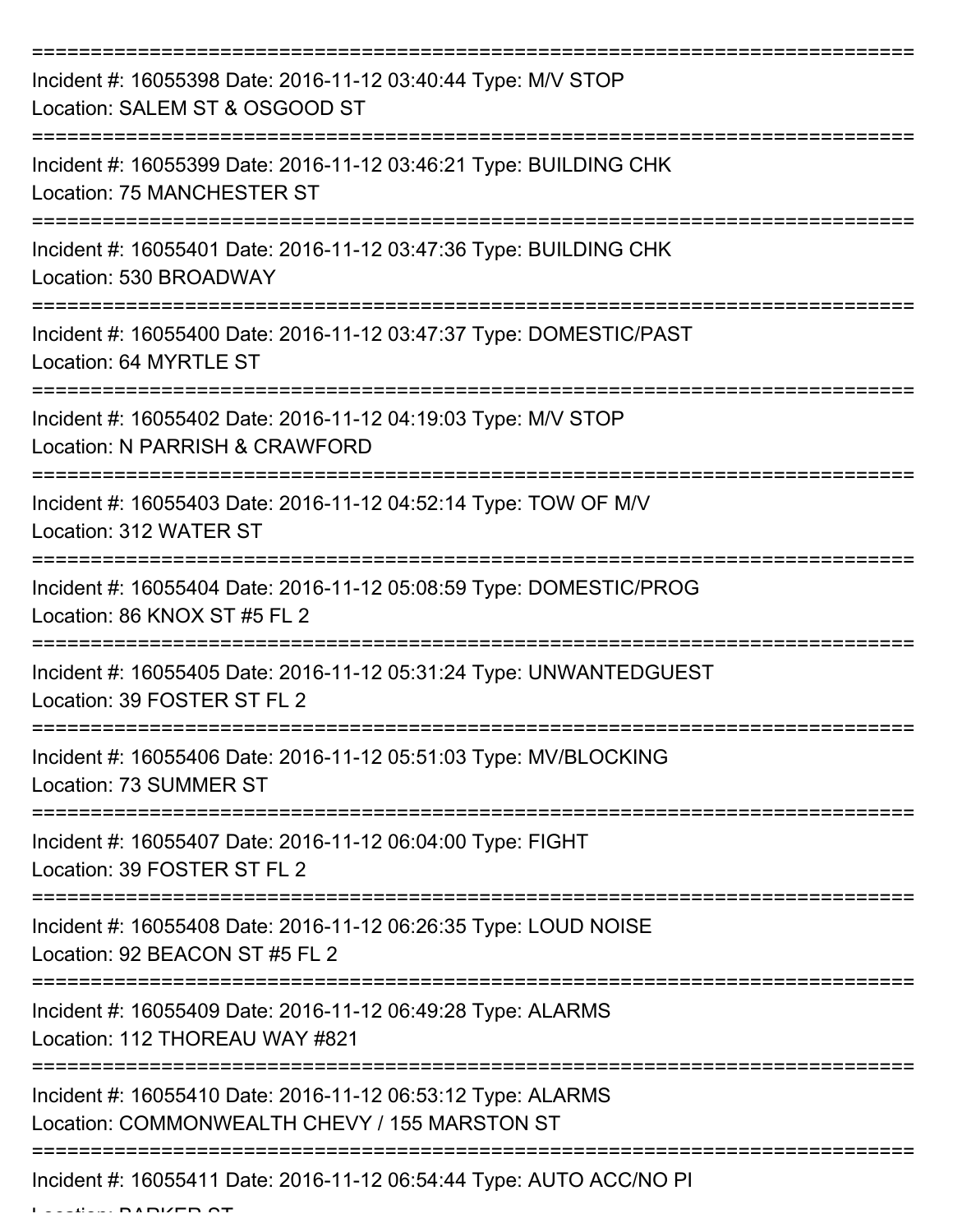| Incident #: 16055398 Date: 2016-11-12 03:40:44 Type: M/V STOP<br>Location: SALEM ST & OSGOOD ST              |
|--------------------------------------------------------------------------------------------------------------|
| Incident #: 16055399 Date: 2016-11-12 03:46:21 Type: BUILDING CHK<br><b>Location: 75 MANCHESTER ST</b>       |
| Incident #: 16055401 Date: 2016-11-12 03:47:36 Type: BUILDING CHK<br>Location: 530 BROADWAY                  |
| Incident #: 16055400 Date: 2016-11-12 03:47:37 Type: DOMESTIC/PAST<br>Location: 64 MYRTLE ST                 |
| Incident #: 16055402 Date: 2016-11-12 04:19:03 Type: M/V STOP<br>Location: N PARRISH & CRAWFORD              |
| Incident #: 16055403 Date: 2016-11-12 04:52:14 Type: TOW OF M/V<br>Location: 312 WATER ST                    |
| Incident #: 16055404 Date: 2016-11-12 05:08:59 Type: DOMESTIC/PROG<br>Location: 86 KNOX ST #5 FL 2           |
| Incident #: 16055405 Date: 2016-11-12 05:31:24 Type: UNWANTEDGUEST<br>Location: 39 FOSTER ST FL 2            |
| Incident #: 16055406 Date: 2016-11-12 05:51:03 Type: MV/BLOCKING<br>Location: 73 SUMMER ST                   |
| Incident #: 16055407 Date: 2016-11-12 06:04:00 Type: FIGHT<br>Location: 39 FOSTER ST FL 2                    |
| Incident #: 16055408 Date: 2016-11-12 06:26:35 Type: LOUD NOISE<br>Location: 92 BEACON ST #5 FL 2            |
| Incident #: 16055409 Date: 2016-11-12 06:49:28 Type: ALARMS<br>Location: 112 THOREAU WAY #821                |
| Incident #: 16055410 Date: 2016-11-12 06:53:12 Type: ALARMS<br>Location: COMMONWEALTH CHEVY / 155 MARSTON ST |
| Incident #: 16055411 Date: 2016-11-12 06:54:44 Type: AUTO ACC/NO PI                                          |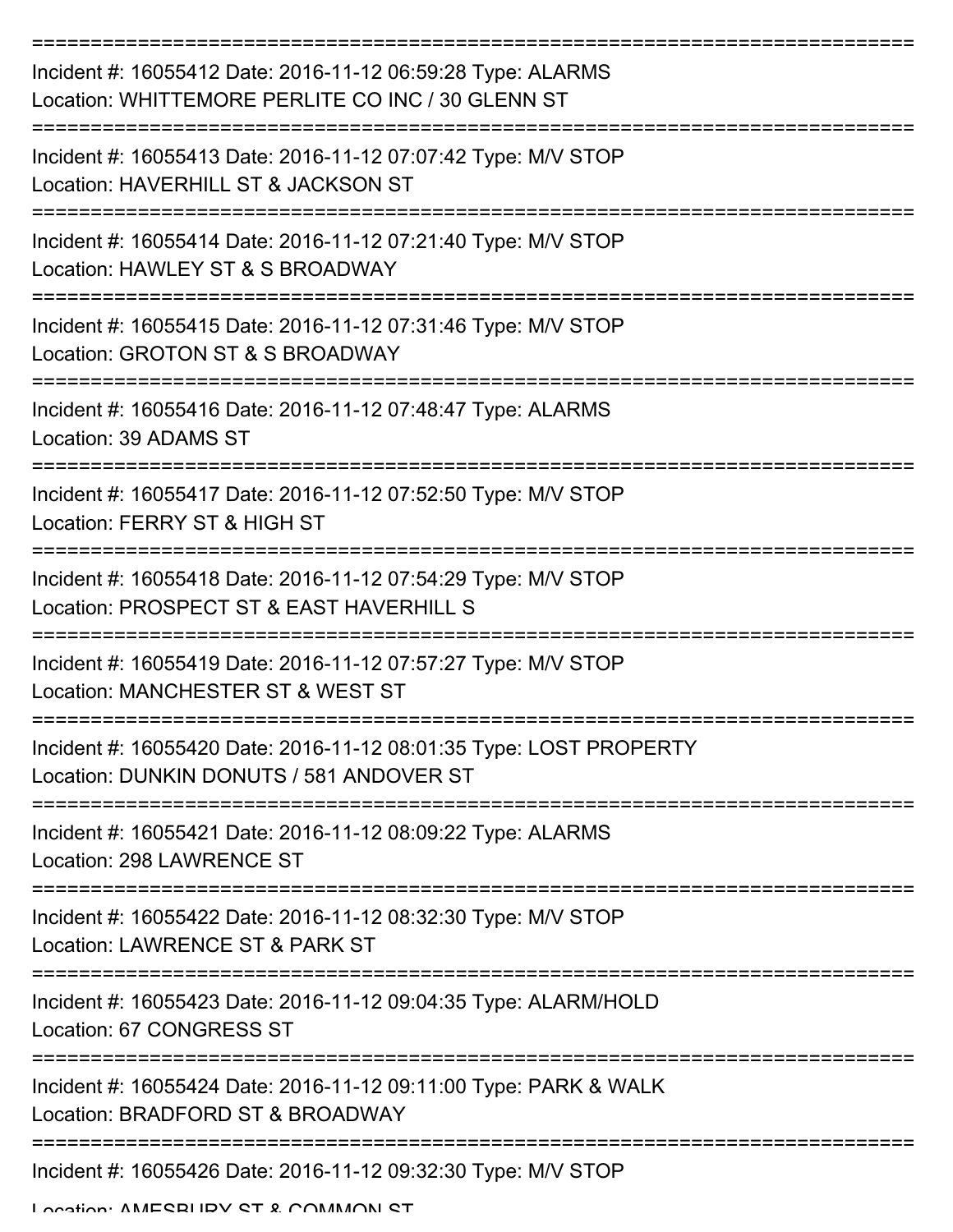| Incident #: 16055412 Date: 2016-11-12 06:59:28 Type: ALARMS<br>Location: WHITTEMORE PERLITE CO INC / 30 GLENN ST |
|------------------------------------------------------------------------------------------------------------------|
| Incident #: 16055413 Date: 2016-11-12 07:07:42 Type: M/V STOP<br>Location: HAVERHILL ST & JACKSON ST             |
| Incident #: 16055414 Date: 2016-11-12 07:21:40 Type: M/V STOP<br>Location: HAWLEY ST & S BROADWAY                |
| Incident #: 16055415 Date: 2016-11-12 07:31:46 Type: M/V STOP<br>Location: GROTON ST & S BROADWAY                |
| Incident #: 16055416 Date: 2016-11-12 07:48:47 Type: ALARMS<br>Location: 39 ADAMS ST                             |
| Incident #: 16055417 Date: 2016-11-12 07:52:50 Type: M/V STOP<br>Location: FERRY ST & HIGH ST                    |
| Incident #: 16055418 Date: 2016-11-12 07:54:29 Type: M/V STOP<br>Location: PROSPECT ST & EAST HAVERHILL S        |
| Incident #: 16055419 Date: 2016-11-12 07:57:27 Type: M/V STOP<br>Location: MANCHESTER ST & WEST ST               |
| Incident #: 16055420 Date: 2016-11-12 08:01:35 Type: LOST PROPERTY<br>Location: DUNKIN DONUTS / 581 ANDOVER ST   |
| Incident #: 16055421 Date: 2016-11-12 08:09:22 Type: ALARMS<br>Location: 298 LAWRENCE ST                         |
| Incident #: 16055422 Date: 2016-11-12 08:32:30 Type: M/V STOP<br>Location: LAWRENCE ST & PARK ST                 |
| Incident #: 16055423 Date: 2016-11-12 09:04:35 Type: ALARM/HOLD<br>Location: 67 CONGRESS ST                      |
| Incident #: 16055424 Date: 2016-11-12 09:11:00 Type: PARK & WALK<br>Location: BRADFORD ST & BROADWAY             |
| Incident #: 16055426 Date: 2016-11-12 09:32:30 Type: M/V STOP                                                    |

Location: AMESBURY ST & COMMON ST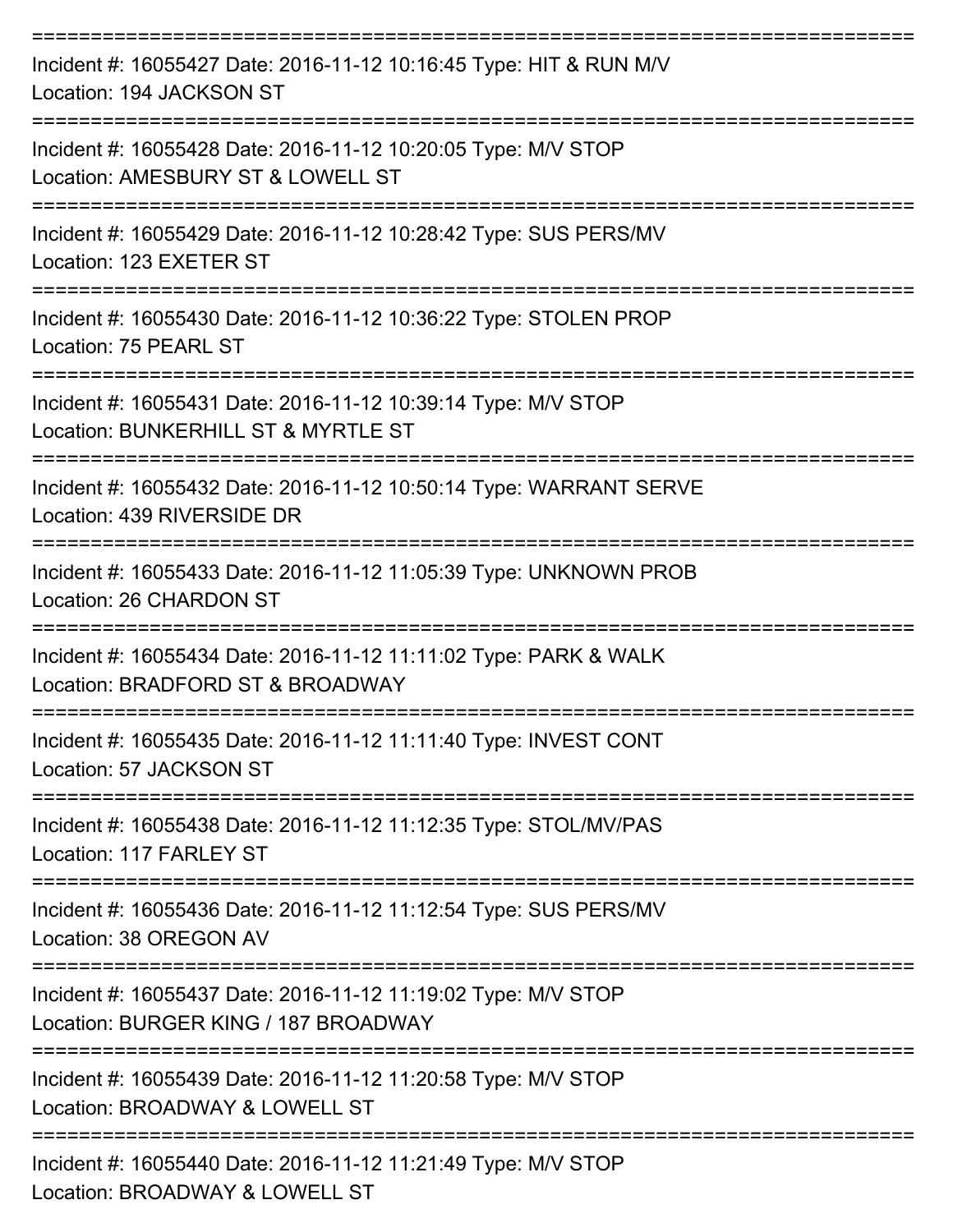| Incident #: 16055427 Date: 2016-11-12 10:16:45 Type: HIT & RUN M/V<br>Location: 194 JACKSON ST        |
|-------------------------------------------------------------------------------------------------------|
| Incident #: 16055428 Date: 2016-11-12 10:20:05 Type: M/V STOP<br>Location: AMESBURY ST & LOWELL ST    |
| Incident #: 16055429 Date: 2016-11-12 10:28:42 Type: SUS PERS/MV<br>Location: 123 EXETER ST           |
| Incident #: 16055430 Date: 2016-11-12 10:36:22 Type: STOLEN PROP<br>Location: 75 PEARL ST             |
| Incident #: 16055431 Date: 2016-11-12 10:39:14 Type: M/V STOP<br>Location: BUNKERHILL ST & MYRTLE ST  |
| Incident #: 16055432 Date: 2016-11-12 10:50:14 Type: WARRANT SERVE<br>Location: 439 RIVERSIDE DR      |
| Incident #: 16055433 Date: 2016-11-12 11:05:39 Type: UNKNOWN PROB<br><b>Location: 26 CHARDON ST</b>   |
| Incident #: 16055434 Date: 2016-11-12 11:11:02 Type: PARK & WALK<br>Location: BRADFORD ST & BROADWAY  |
| Incident #: 16055435 Date: 2016-11-12 11:11:40 Type: INVEST CONT<br>Location: 57 JACKSON ST           |
| Incident #: 16055438 Date: 2016-11-12 11:12:35 Type: STOL/MV/PAS<br>Location: 117 FARLEY ST           |
| Incident #: 16055436 Date: 2016-11-12 11:12:54 Type: SUS PERS/MV<br>Location: 38 OREGON AV            |
| Incident #: 16055437 Date: 2016-11-12 11:19:02 Type: M/V STOP<br>Location: BURGER KING / 187 BROADWAY |
| Incident #: 16055439 Date: 2016-11-12 11:20:58 Type: M/V STOP<br>Location: BROADWAY & LOWELL ST       |
| Incident #: 16055440 Date: 2016-11-12 11:21:49 Type: M/V STOP<br>Location: BROADWAY & LOWELL ST       |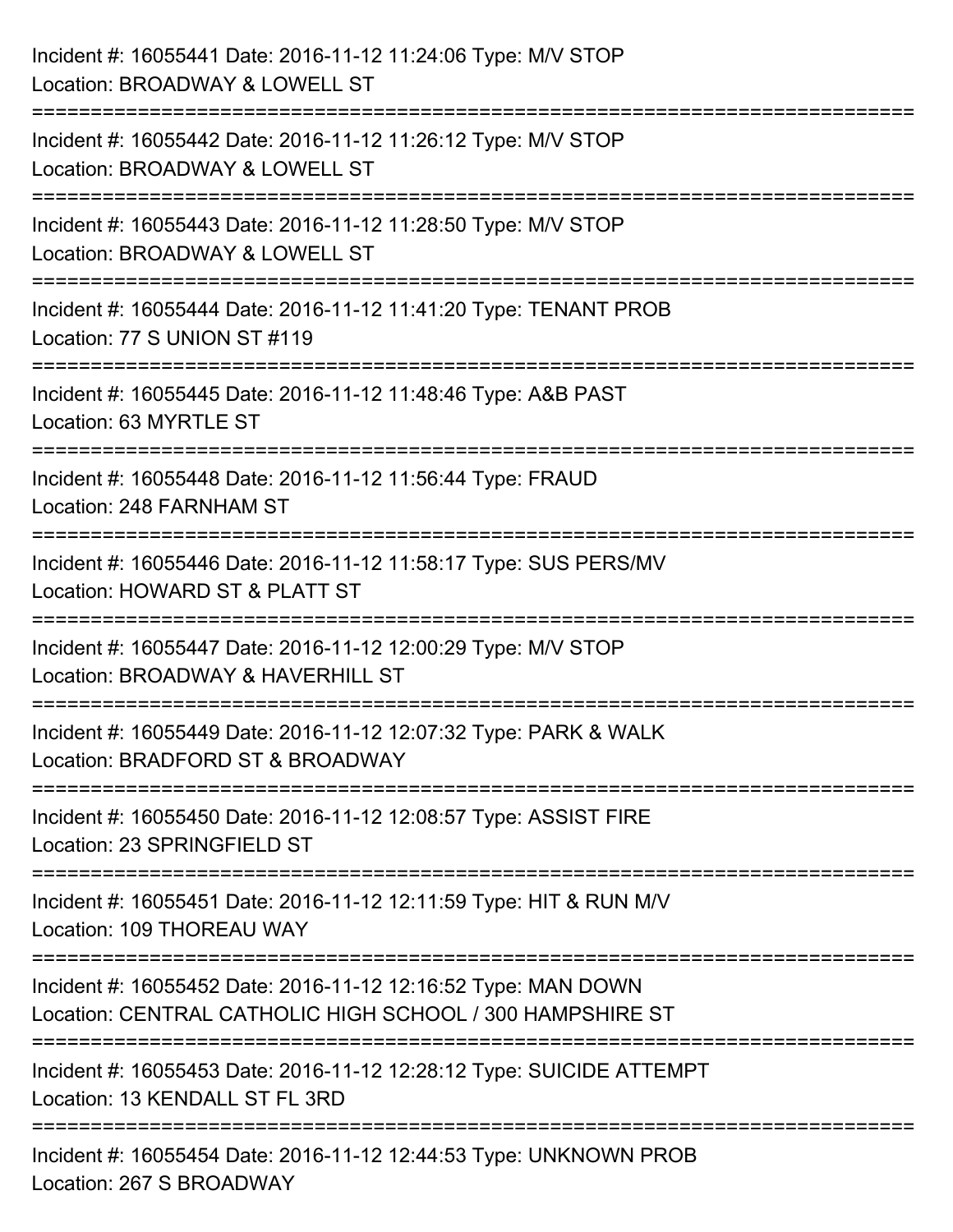| Incident #: 16055441 Date: 2016-11-12 11:24:06 Type: M/V STOP<br>Location: BROADWAY & LOWELL ST                                                   |
|---------------------------------------------------------------------------------------------------------------------------------------------------|
| Incident #: 16055442 Date: 2016-11-12 11:26:12 Type: M/V STOP<br>Location: BROADWAY & LOWELL ST                                                   |
| Incident #: 16055443 Date: 2016-11-12 11:28:50 Type: M/V STOP<br>Location: BROADWAY & LOWELL ST<br>:=========================                     |
| Incident #: 16055444 Date: 2016-11-12 11:41:20 Type: TENANT PROB<br>Location: 77 S UNION ST #119                                                  |
| Incident #: 16055445 Date: 2016-11-12 11:48:46 Type: A&B PAST<br>Location: 63 MYRTLE ST                                                           |
| Incident #: 16055448 Date: 2016-11-12 11:56:44 Type: FRAUD<br>Location: 248 FARNHAM ST                                                            |
| Incident #: 16055446 Date: 2016-11-12 11:58:17 Type: SUS PERS/MV<br>Location: HOWARD ST & PLATT ST                                                |
| Incident #: 16055447 Date: 2016-11-12 12:00:29 Type: M/V STOP<br>Location: BROADWAY & HAVERHILL ST                                                |
| Incident #: 16055449 Date: 2016-11-12 12:07:32 Type: PARK & WALK<br>Location: BRADFORD ST & BROADWAY                                              |
| Incident #: 16055450 Date: 2016-11-12 12:08:57 Type: ASSIST FIRE<br>Location: 23 SPRINGFIELD ST                                                   |
| Incident #: 16055451 Date: 2016-11-12 12:11:59 Type: HIT & RUN M/V<br>Location: 109 THOREAU WAY                                                   |
| ===================<br>Incident #: 16055452 Date: 2016-11-12 12:16:52 Type: MAN DOWN<br>Location: CENTRAL CATHOLIC HIGH SCHOOL / 300 HAMPSHIRE ST |
| Incident #: 16055453 Date: 2016-11-12 12:28:12 Type: SUICIDE ATTEMPT<br>Location: 13 KENDALL ST FL 3RD                                            |
| Incident #: 16055454 Date: 2016-11-12 12:44:53 Type: UNKNOWN PROB<br>Location: 267 S BROADWAY                                                     |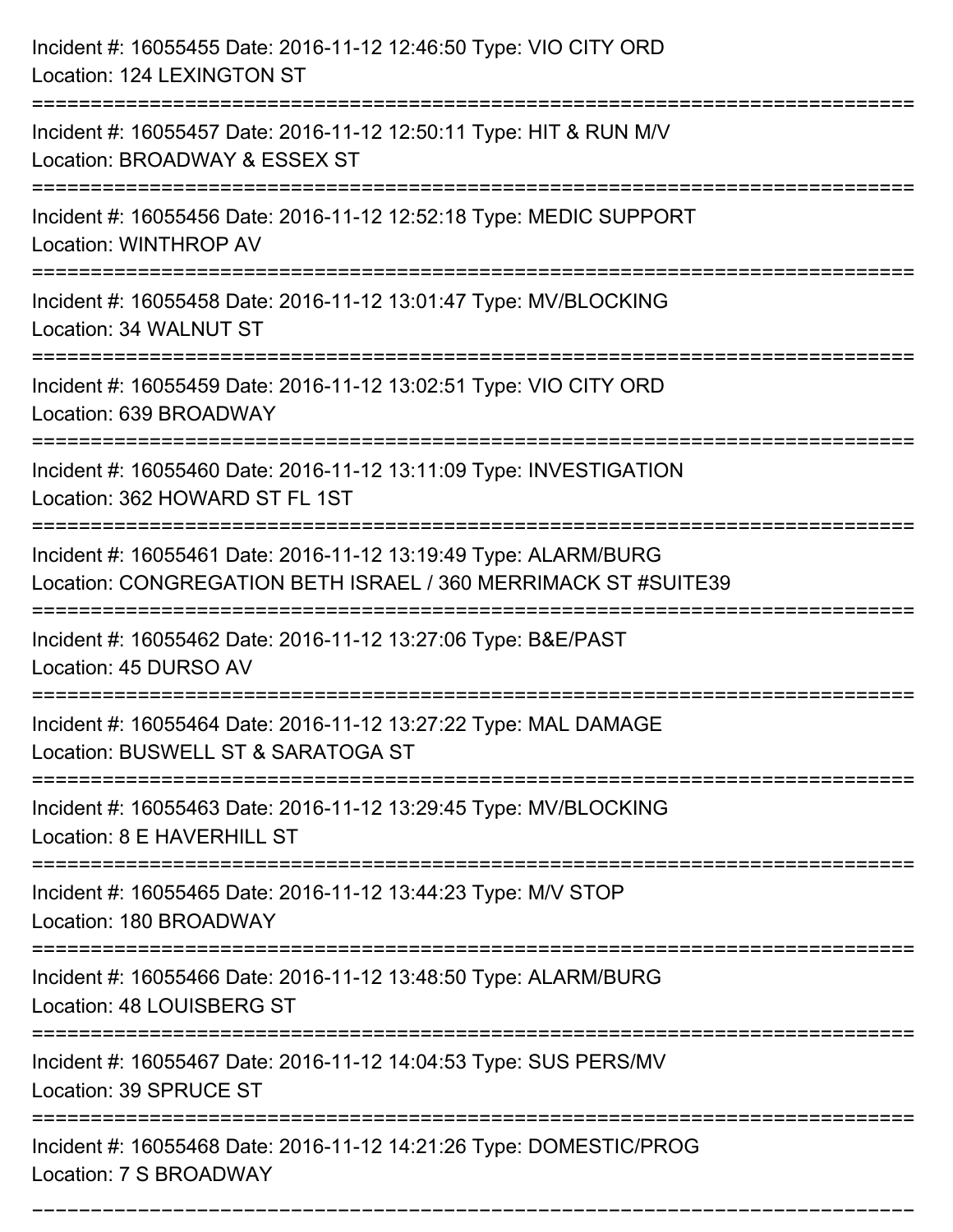| Incident #: 16055455 Date: 2016-11-12 12:46:50 Type: VIO CITY ORD<br>Location: 124 LEXINGTON ST                                                      |
|------------------------------------------------------------------------------------------------------------------------------------------------------|
| Incident #: 16055457 Date: 2016-11-12 12:50:11 Type: HIT & RUN M/V<br>Location: BROADWAY & ESSEX ST                                                  |
| Incident #: 16055456 Date: 2016-11-12 12:52:18 Type: MEDIC SUPPORT<br>Location: WINTHROP AV                                                          |
| Incident #: 16055458 Date: 2016-11-12 13:01:47 Type: MV/BLOCKING<br>Location: 34 WALNUT ST                                                           |
| Incident #: 16055459 Date: 2016-11-12 13:02:51 Type: VIO CITY ORD<br>Location: 639 BROADWAY                                                          |
| Incident #: 16055460 Date: 2016-11-12 13:11:09 Type: INVESTIGATION<br>Location: 362 HOWARD ST FL 1ST                                                 |
| Incident #: 16055461 Date: 2016-11-12 13:19:49 Type: ALARM/BURG<br>Location: CONGREGATION BETH ISRAEL / 360 MERRIMACK ST #SUITE39<br>:============== |
| Incident #: 16055462 Date: 2016-11-12 13:27:06 Type: B&E/PAST<br>Location: 45 DURSO AV                                                               |
| Incident #: 16055464 Date: 2016-11-12 13:27:22 Type: MAL DAMAGE<br>Location: BUSWELL ST & SARATOGA ST                                                |
| Incident #: 16055463 Date: 2016-11-12 13:29:45 Type: MV/BLOCKING<br>Location: 8 E HAVERHILL ST                                                       |
| Incident #: 16055465 Date: 2016-11-12 13:44:23 Type: M/V STOP<br>Location: 180 BROADWAY                                                              |
| Incident #: 16055466 Date: 2016-11-12 13:48:50 Type: ALARM/BURG<br>Location: 48 LOUISBERG ST                                                         |
| Incident #: 16055467 Date: 2016-11-12 14:04:53 Type: SUS PERS/MV<br>Location: 39 SPRUCE ST                                                           |
| Incident #: 16055468 Date: 2016-11-12 14:21:26 Type: DOMESTIC/PROG<br>Location: 7 S BROADWAY                                                         |

===========================================================================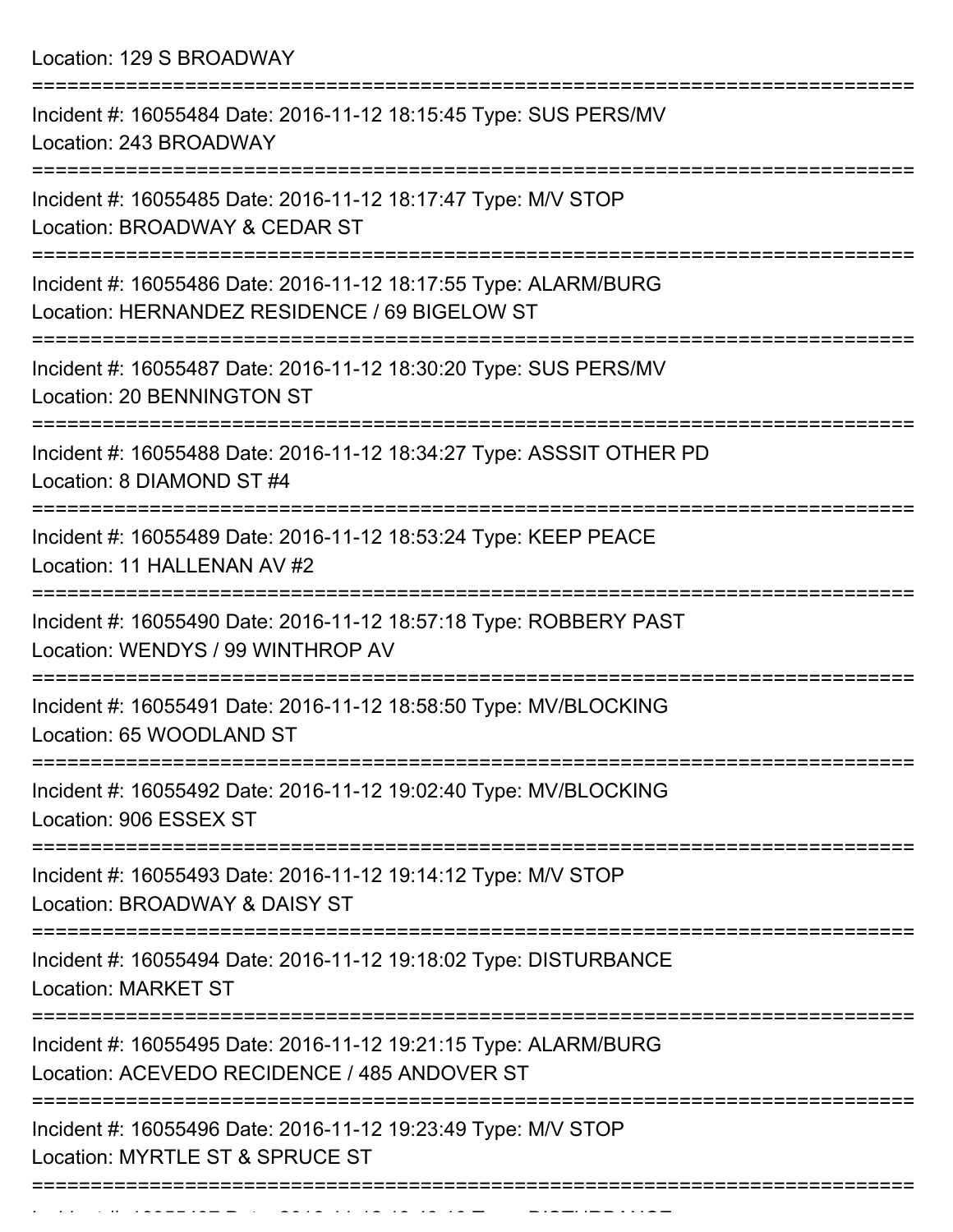Location: 129 S BROADWAY

| Incident #: 16055484 Date: 2016-11-12 18:15:45 Type: SUS PERS/MV<br>Location: 243 BROADWAY                             |
|------------------------------------------------------------------------------------------------------------------------|
| Incident #: 16055485 Date: 2016-11-12 18:17:47 Type: M/V STOP<br>Location: BROADWAY & CEDAR ST                         |
| Incident #: 16055486 Date: 2016-11-12 18:17:55 Type: ALARM/BURG<br>Location: HERNANDEZ RESIDENCE / 69 BIGELOW ST       |
| Incident #: 16055487 Date: 2016-11-12 18:30:20 Type: SUS PERS/MV<br>Location: 20 BENNINGTON ST                         |
| Incident #: 16055488 Date: 2016-11-12 18:34:27 Type: ASSSIT OTHER PD<br>Location: 8 DIAMOND ST #4                      |
| Incident #: 16055489 Date: 2016-11-12 18:53:24 Type: KEEP PEACE<br>Location: 11 HALLENAN AV #2                         |
| Incident #: 16055490 Date: 2016-11-12 18:57:18 Type: ROBBERY PAST<br>Location: WENDYS / 99 WINTHROP AV                 |
| Incident #: 16055491 Date: 2016-11-12 18:58:50 Type: MV/BLOCKING<br>Location: 65 WOODLAND ST                           |
| Incident #: 16055492 Date: 2016-11-12 19:02:40 Type: MV/BLOCKING<br>Location: 906 ESSEX ST                             |
| ====================<br>Incident #: 16055493 Date: 2016-11-12 19:14:12 Type: M/V STOP<br>Location: BROADWAY & DAISY ST |
| Incident #: 16055494 Date: 2016-11-12 19:18:02 Type: DISTURBANCE<br><b>Location: MARKET ST</b>                         |
| Incident #: 16055495 Date: 2016-11-12 19:21:15 Type: ALARM/BURG<br>Location: ACEVEDO RECIDENCE / 485 ANDOVER ST        |
| Incident #: 16055496 Date: 2016-11-12 19:23:49 Type: M/V STOP<br>Location: MYRTLE ST & SPRUCE ST                       |
|                                                                                                                        |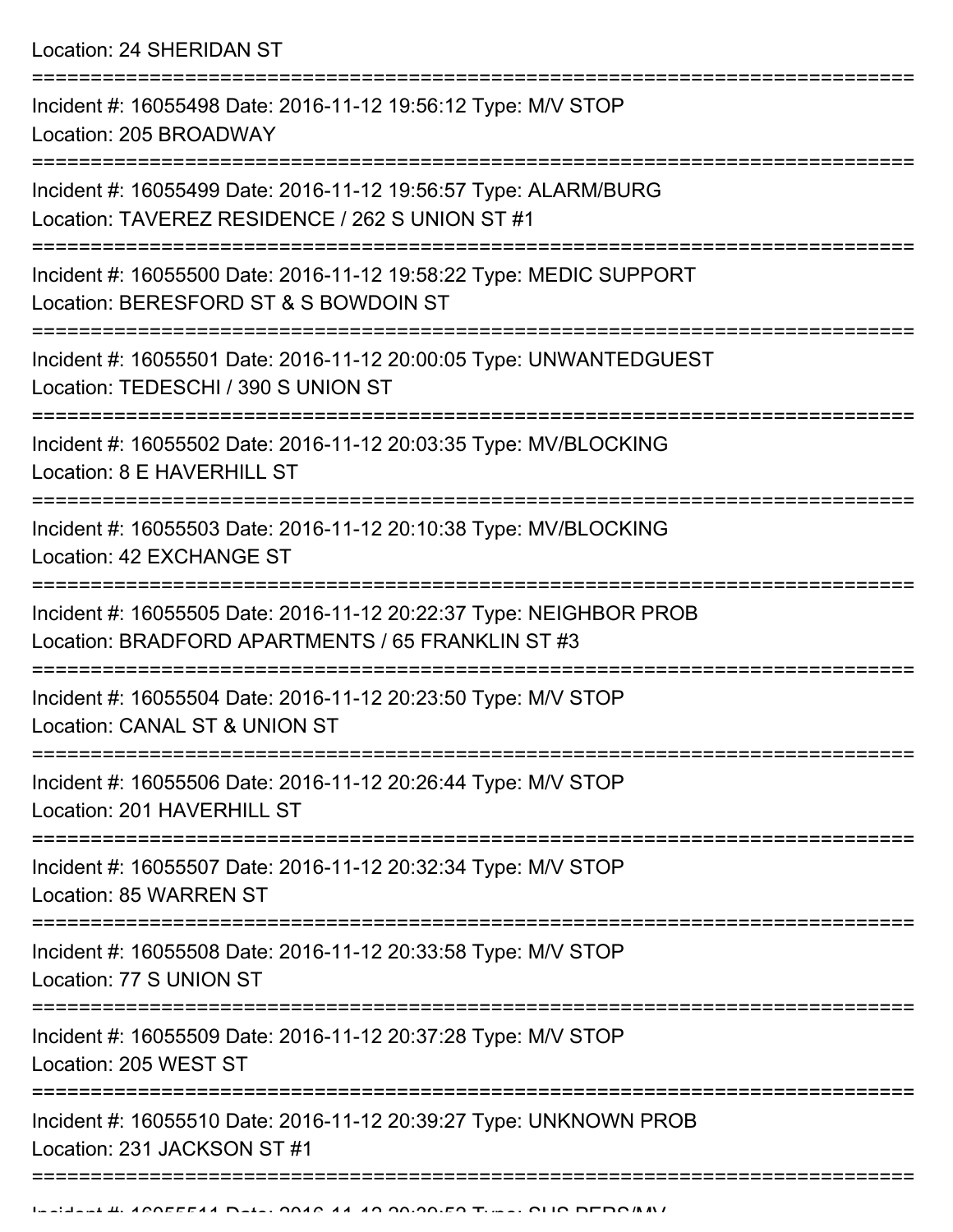Location: 24 SHERIDAN ST

| Incident #: 16055498 Date: 2016-11-12 19:56:12 Type: M/V STOP<br>Location: 205 BROADWAY                                  |
|--------------------------------------------------------------------------------------------------------------------------|
| Incident #: 16055499 Date: 2016-11-12 19:56:57 Type: ALARM/BURG<br>Location: TAVEREZ RESIDENCE / 262 S UNION ST #1       |
| Incident #: 16055500 Date: 2016-11-12 19:58:22 Type: MEDIC SUPPORT<br>Location: BERESFORD ST & S BOWDOIN ST              |
| Incident #: 16055501 Date: 2016-11-12 20:00:05 Type: UNWANTEDGUEST<br>Location: TEDESCHI / 390 S UNION ST                |
| Incident #: 16055502 Date: 2016-11-12 20:03:35 Type: MV/BLOCKING<br>Location: 8 E HAVERHILL ST                           |
| Incident #: 16055503 Date: 2016-11-12 20:10:38 Type: MV/BLOCKING<br>Location: 42 EXCHANGE ST                             |
| Incident #: 16055505 Date: 2016-11-12 20:22:37 Type: NEIGHBOR PROB<br>Location: BRADFORD APARTMENTS / 65 FRANKLIN ST #3  |
| Incident #: 16055504 Date: 2016-11-12 20:23:50 Type: M/V STOP<br>Location: CANAL ST & UNION ST                           |
| Incident #: 16055506 Date: 2016-11-12 20:26:44 Type: M/V STOP<br>Location: 201 HAVERHILL ST                              |
| Incident #: 16055507 Date: 2016-11-12 20:32:34 Type: M/V STOP<br>Location: 85 WARREN ST                                  |
| Incident #: 16055508 Date: 2016-11-12 20:33:58 Type: M/V STOP<br>Location: 77 S UNION ST                                 |
| ------------------------------<br>Incident #: 16055509 Date: 2016-11-12 20:37:28 Type: M/V STOP<br>Location: 205 WEST ST |
| Incident #: 16055510 Date: 2016-11-12 20:39:27 Type: UNKNOWN PROB<br>Location: 231 JACKSON ST #1                         |
|                                                                                                                          |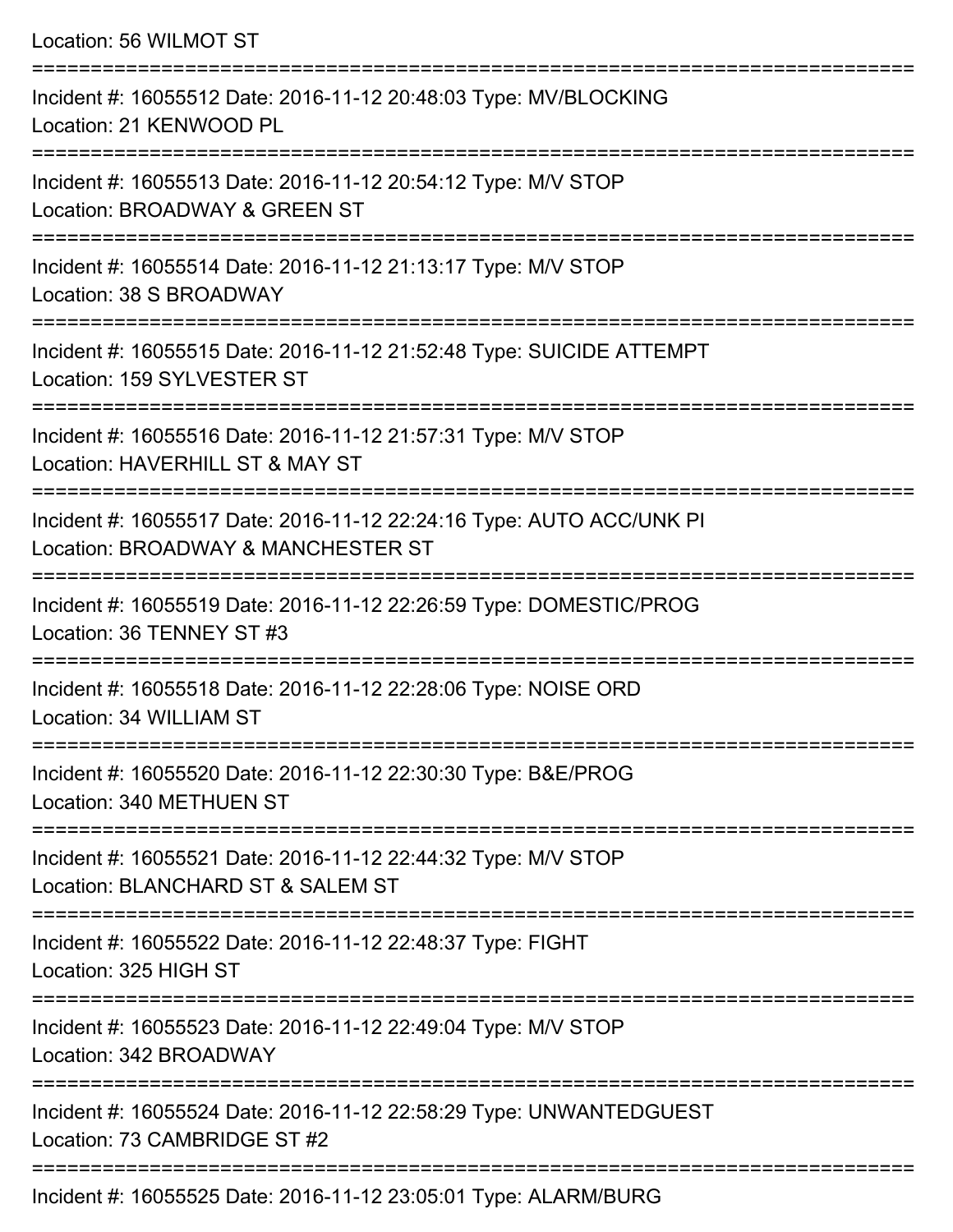Location: 56 WILMOT ST

=========================================================================== Incident #: 16055512 Date: 2016-11-12 20:48:03 Type: MV/BLOCKING Location: 21 KENWOOD PL =========================================================================== Incident #: 16055513 Date: 2016-11-12 20:54:12 Type: M/V STOP Location: BROADWAY & GREEN ST =========================================================================== Incident #: 16055514 Date: 2016-11-12 21:13:17 Type: M/V STOP Location: 38 S BROADWAY =========================================================================== Incident #: 16055515 Date: 2016-11-12 21:52:48 Type: SUICIDE ATTEMPT Location: 159 SYLVESTER ST =========================================================================== Incident #: 16055516 Date: 2016-11-12 21:57:31 Type: M/V STOP Location: HAVERHILL ST & MAY ST =========================================================================== Incident #: 16055517 Date: 2016-11-12 22:24:16 Type: AUTO ACC/UNK PI Location: BROADWAY & MANCHESTER ST =========================================================================== Incident #: 16055519 Date: 2016-11-12 22:26:59 Type: DOMESTIC/PROG Location: 36 TENNEY ST #3 =========================================================================== Incident #: 16055518 Date: 2016-11-12 22:28:06 Type: NOISE ORD Location: 34 WILLIAM ST =========================================================================== Incident #: 16055520 Date: 2016-11-12 22:30:30 Type: B&E/PROG Location: 340 METHUEN ST =========================================================================== Incident #: 16055521 Date: 2016-11-12 22:44:32 Type: M/V STOP Location: BLANCHARD ST & SALEM ST =========================================================================== Incident #: 16055522 Date: 2016-11-12 22:48:37 Type: FIGHT Location: 325 HIGH ST =========================================================================== Incident #: 16055523 Date: 2016-11-12 22:49:04 Type: M/V STOP Location: 342 BROADWAY =========================================================================== Incident #: 16055524 Date: 2016-11-12 22:58:29 Type: UNWANTEDGUEST Location: 73 CAMBRIDGE ST #2 =========================================================================== Incident #: 16055525 Date: 2016-11-12 23:05:01 Type: ALARM/BURG